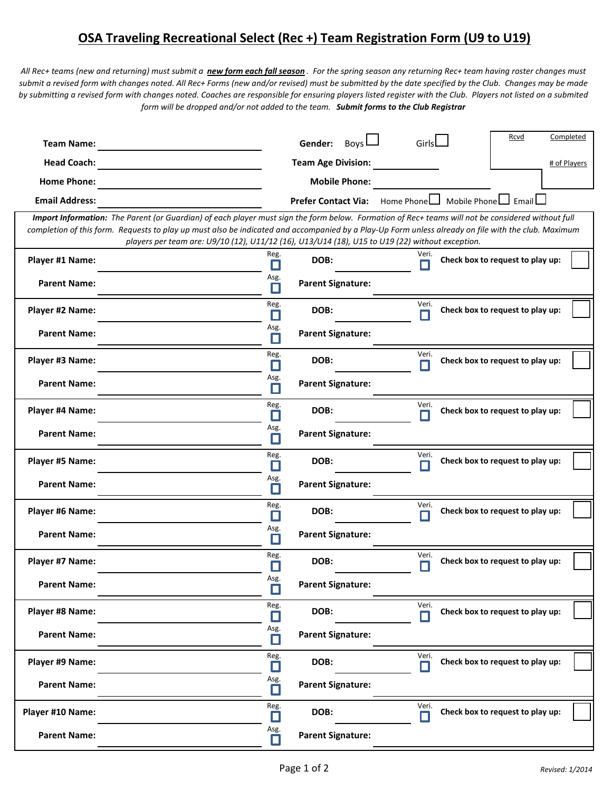## **OSA Traveling Recreational Select (Rec +) Team Registration Form (U9 to U19)**

*All Rec+ teams (new and returning) must submit a new form each fall season . For the spring season any returning Rec+ team having roster changes must submit a revised form with changes noted. All Rec+ Forms (new and/or revised) must be submitted by the date specified by the Club. Changes may be made by submitting a revised form with changes noted. Coaches are responsible for ensuring players listed register with the Club. Players not listed on a submited form will be dropped and/or not added to the team. Submit forms to the Club Registrar*

| <b>Team Name:</b>                                                                                                                                                                                                                                                                                                                                                                                           |                | Boys<br>Gender:                                          | Girls      |  | Rcvd                             | Completed    |  |  |  |  |  |  |
|-------------------------------------------------------------------------------------------------------------------------------------------------------------------------------------------------------------------------------------------------------------------------------------------------------------------------------------------------------------------------------------------------------------|----------------|----------------------------------------------------------|------------|--|----------------------------------|--------------|--|--|--|--|--|--|
| <b>Head Coach:</b>                                                                                                                                                                                                                                                                                                                                                                                          |                | <b>Team Age Division:</b>                                |            |  |                                  | # of Players |  |  |  |  |  |  |
| <b>Home Phone:</b>                                                                                                                                                                                                                                                                                                                                                                                          |                | <b>Mobile Phone:</b>                                     |            |  |                                  |              |  |  |  |  |  |  |
| <b>Email Address:</b>                                                                                                                                                                                                                                                                                                                                                                                       |                | <b>Prefer Contact Via:</b> Home Phone Mobile Phone Fmail |            |  |                                  |              |  |  |  |  |  |  |
| Import Information: The Parent (or Guardian) of each player must sign the form below. Formation of Rec+ teams will not be considered without full<br>completion of this form. Requests to play up must also be indicated and accompanied by a Play-Up Form unless already on file with the club. Maximum<br>players per team are: U9/10 (12), U11/12 (16), U13/U14 (18), U15 to U19 (22) without exception. |                |                                                          |            |  |                                  |              |  |  |  |  |  |  |
| Player #1 Name:                                                                                                                                                                                                                                                                                                                                                                                             | Reg.<br>П      | DOB:                                                     | Veri.      |  | Check box to request to play up: |              |  |  |  |  |  |  |
| <b>Parent Name:</b>                                                                                                                                                                                                                                                                                                                                                                                         | Asg.<br>П      | <b>Parent Signature:</b>                                 |            |  |                                  |              |  |  |  |  |  |  |
| Player #2 Name:                                                                                                                                                                                                                                                                                                                                                                                             | Reg.<br>П      | DOB:                                                     | Veri.      |  | Check box to request to play up: |              |  |  |  |  |  |  |
| <b>Parent Name:</b>                                                                                                                                                                                                                                                                                                                                                                                         | Asg.<br>П      | <b>Parent Signature:</b>                                 |            |  |                                  |              |  |  |  |  |  |  |
| Player #3 Name:                                                                                                                                                                                                                                                                                                                                                                                             | Reg.<br>П      | DOB:                                                     | Veri.<br>П |  | Check box to request to play up: |              |  |  |  |  |  |  |
| <b>Parent Name:</b>                                                                                                                                                                                                                                                                                                                                                                                         | Asg.<br>П      | <b>Parent Signature:</b>                                 |            |  |                                  |              |  |  |  |  |  |  |
| Player #4 Name:                                                                                                                                                                                                                                                                                                                                                                                             | Reg.<br>П      | DOB:                                                     | Veri.      |  | Check box to request to play up: |              |  |  |  |  |  |  |
| <b>Parent Name:</b>                                                                                                                                                                                                                                                                                                                                                                                         | Asg.<br>Π      | <b>Parent Signature:</b>                                 |            |  |                                  |              |  |  |  |  |  |  |
| Player #5 Name:                                                                                                                                                                                                                                                                                                                                                                                             | Reg.<br>П      | DOB:                                                     | Veri.      |  | Check box to request to play up: |              |  |  |  |  |  |  |
| <b>Parent Name:</b>                                                                                                                                                                                                                                                                                                                                                                                         | Asg.<br>П      | <b>Parent Signature:</b>                                 |            |  |                                  |              |  |  |  |  |  |  |
| Player #6 Name:                                                                                                                                                                                                                                                                                                                                                                                             | Reg.<br>П      | DOB:                                                     | Veri.      |  | Check box to request to play up: |              |  |  |  |  |  |  |
| <b>Parent Name:</b>                                                                                                                                                                                                                                                                                                                                                                                         | Asg.<br>П      | <b>Parent Signature:</b>                                 |            |  |                                  |              |  |  |  |  |  |  |
| Player #7 Name:                                                                                                                                                                                                                                                                                                                                                                                             | Reg.           | DOB:                                                     | Veri.      |  | Check box to request to play up: |              |  |  |  |  |  |  |
| <b>Parent Name:</b>                                                                                                                                                                                                                                                                                                                                                                                         | Asg.           | <b>Parent Signature:</b>                                 |            |  |                                  |              |  |  |  |  |  |  |
| Player #8 Name:                                                                                                                                                                                                                                                                                                                                                                                             | Reg.<br>$\Box$ | DOB:                                                     | Veri.      |  | Check box to request to play up: |              |  |  |  |  |  |  |
| <b>Parent Name:</b>                                                                                                                                                                                                                                                                                                                                                                                         | Asg.<br>П      | <b>Parent Signature:</b>                                 |            |  |                                  |              |  |  |  |  |  |  |
| Player #9 Name:                                                                                                                                                                                                                                                                                                                                                                                             | Reg.<br>П      | DOB:                                                     | Veri.<br>Н |  | Check box to request to play up: |              |  |  |  |  |  |  |
| <b>Parent Name:</b>                                                                                                                                                                                                                                                                                                                                                                                         | Asg.<br>П      | <b>Parent Signature:</b>                                 |            |  |                                  |              |  |  |  |  |  |  |
| Player #10 Name:                                                                                                                                                                                                                                                                                                                                                                                            | Reg.<br>П      | DOB:                                                     | Veri.<br>П |  | Check box to request to play up: |              |  |  |  |  |  |  |
| <b>Parent Name:</b>                                                                                                                                                                                                                                                                                                                                                                                         | Asg.<br>П      | <b>Parent Signature:</b>                                 |            |  |                                  |              |  |  |  |  |  |  |